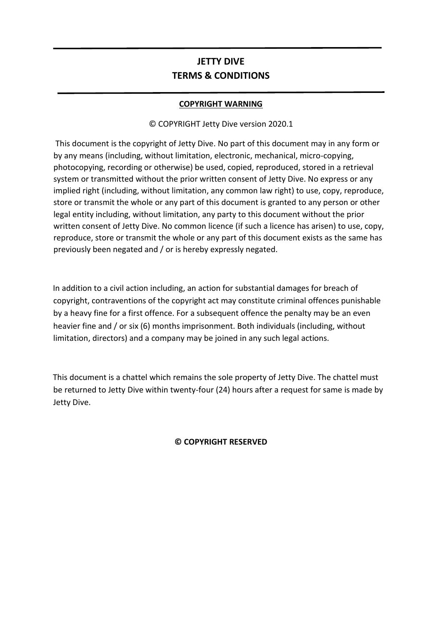# **JETTY DIVE TERMS & CONDITIONS**

# **COPYRIGHT WARNING**

# © COPYRIGHT Jetty Dive version 2020.1

This document is the copyright of Jetty Dive. No part of this document may in any form or by any means (including, without limitation, electronic, mechanical, micro-copying, photocopying, recording or otherwise) be used, copied, reproduced, stored in a retrieval system or transmitted without the prior written consent of Jetty Dive. No express or any implied right (including, without limitation, any common law right) to use, copy, reproduce, store or transmit the whole or any part of this document is granted to any person or other legal entity including, without limitation, any party to this document without the prior written consent of Jetty Dive. No common licence (if such a licence has arisen) to use, copy, reproduce, store or transmit the whole or any part of this document exists as the same has previously been negated and / or is hereby expressly negated.

In addition to a civil action including, an action for substantial damages for breach of copyright, contraventions of the copyright act may constitute criminal offences punishable by a heavy fine for a first offence. For a subsequent offence the penalty may be an even heavier fine and / or six (6) months imprisonment. Both individuals (including, without limitation, directors) and a company may be joined in any such legal actions.

This document is a chattel which remains the sole property of Jetty Dive. The chattel must be returned to Jetty Dive within twenty-four (24) hours after a request for same is made by Jetty Dive.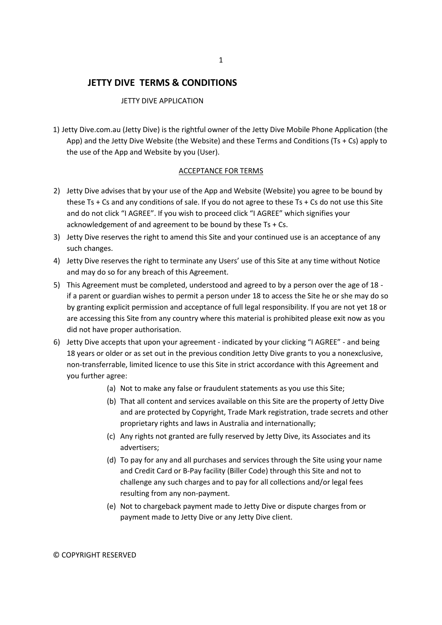# **JETTY DIVE TERMS & CONDITIONS**

#### JETTY DIVE APPLICATION

1) Jetty Dive.com.au (Jetty Dive) is the rightful owner of the Jetty Dive Mobile Phone Application (the App) and the Jetty Dive Website (the Website) and these Terms and Conditions (Ts + Cs) apply to the use of the App and Website by you (User).

#### ACCEPTANCE FOR TERMS

- 2) Jetty Dive advises that by your use of the App and Website (Website) you agree to be bound by these Ts + Cs and any conditions of sale. If you do not agree to these Ts + Cs do not use this Site and do not click "I AGREE". If you wish to proceed click "I AGREE" which signifies your acknowledgement of and agreement to be bound by these Ts + Cs.
- 3) Jetty Dive reserves the right to amend this Site and your continued use is an acceptance of any such changes.
- 4) Jetty Dive reserves the right to terminate any Users' use of this Site at any time without Notice and may do so for any breach of this Agreement.
- 5) This Agreement must be completed, understood and agreed to by a person over the age of 18 if a parent or guardian wishes to permit a person under 18 to access the Site he or she may do so by granting explicit permission and acceptance of full legal responsibility. If you are not yet 18 or are accessing this Site from any country where this material is prohibited please exit now as you did not have proper authorisation.
- 6) Jetty Dive accepts that upon your agreement indicated by your clicking "I AGREE" and being 18 years or older or as set out in the previous condition Jetty Dive grants to you a nonexclusive, non-transferrable, limited licence to use this Site in strict accordance with this Agreement and you further agree:
	- (a) Not to make any false or fraudulent statements as you use this Site;
	- (b) That all content and services available on this Site are the property of Jetty Dive and are protected by Copyright, Trade Mark registration, trade secrets and other proprietary rights and laws in Australia and internationally;
	- (c) Any rights not granted are fully reserved by Jetty Dive, its Associates and its advertisers;
	- (d) To pay for any and all purchases and services through the Site using your name and Credit Card or B-Pay facility (Biller Code) through this Site and not to challenge any such charges and to pay for all collections and/or legal fees resulting from any non-payment.
	- (e) Not to chargeback payment made to Jetty Dive or dispute charges from or payment made to Jetty Dive or any Jetty Dive client.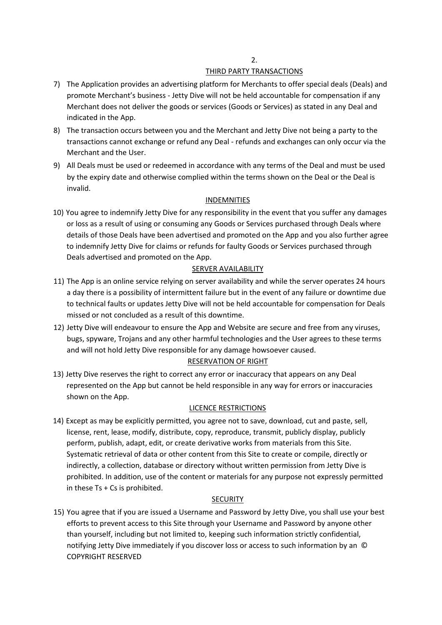# THIRD PARTY TRANSACTIONS

- 7) The Application provides an advertising platform for Merchants to offer special deals (Deals) and promote Merchant's business - Jetty Dive will not be held accountable for compensation if any Merchant does not deliver the goods or services (Goods or Services) as stated in any Deal and indicated in the App.
- 8) The transaction occurs between you and the Merchant and Jetty Dive not being a party to the transactions cannot exchange or refund any Deal - refunds and exchanges can only occur via the Merchant and the User.
- 9) All Deals must be used or redeemed in accordance with any terms of the Deal and must be used by the expiry date and otherwise complied within the terms shown on the Deal or the Deal is invalid.

# INDEMNITIES

10) You agree to indemnify Jetty Dive for any responsibility in the event that you suffer any damages or loss as a result of using or consuming any Goods or Services purchased through Deals where details of those Deals have been advertised and promoted on the App and you also further agree to indemnify Jetty Dive for claims or refunds for faulty Goods or Services purchased through Deals advertised and promoted on the App.

# SERVER AVAILABILITY

- 11) The App is an online service relying on server availability and while the server operates 24 hours a day there is a possibility of intermittent failure but in the event of any failure or downtime due to technical faults or updates Jetty Dive will not be held accountable for compensation for Deals missed or not concluded as a result of this downtime.
- 12) Jetty Dive will endeavour to ensure the App and Website are secure and free from any viruses, bugs, spyware, Trojans and any other harmful technologies and the User agrees to these terms and will not hold Jetty Dive responsible for any damage howsoever caused. RESERVATION OF RIGHT
- 13) Jetty Dive reserves the right to correct any error or inaccuracy that appears on any Deal represented on the App but cannot be held responsible in any way for errors or inaccuracies shown on the App.

# LICENCE RESTRICTIONS

14) Except as may be explicitly permitted, you agree not to save, download, cut and paste, sell, license, rent, lease, modify, distribute, copy, reproduce, transmit, publicly display, publicly perform, publish, adapt, edit, or create derivative works from materials from this Site. Systematic retrieval of data or other content from this Site to create or compile, directly or indirectly, a collection, database or directory without written permission from Jetty Dive is prohibited. In addition, use of the content or materials for any purpose not expressly permitted in these Ts + Cs is prohibited.

# **SECURITY**

15) You agree that if you are issued a Username and Password by Jetty Dive, you shall use your best efforts to prevent access to this Site through your Username and Password by anyone other than yourself, including but not limited to, keeping such information strictly confidential, notifying Jetty Dive immediately if you discover loss or access to such information by an © COPYRIGHT RESERVED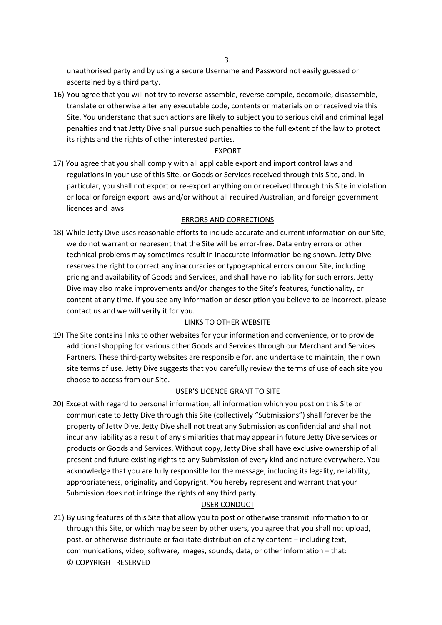unauthorised party and by using a secure Username and Password not easily guessed or ascertained by a third party.

16) You agree that you will not try to reverse assemble, reverse compile, decompile, disassemble, translate or otherwise alter any executable code, contents or materials on or received via this Site. You understand that such actions are likely to subject you to serious civil and criminal legal penalties and that Jetty Dive shall pursue such penalties to the full extent of the law to protect its rights and the rights of other interested parties.

### EXPORT

17) You agree that you shall comply with all applicable export and import control laws and regulations in your use of this Site, or Goods or Services received through this Site, and, in particular, you shall not export or re-export anything on or received through this Site in violation or local or foreign export laws and/or without all required Australian, and foreign government licences and laws.

# ERRORS AND CORRECTIONS

18) While Jetty Dive uses reasonable efforts to include accurate and current information on our Site, we do not warrant or represent that the Site will be error-free. Data entry errors or other technical problems may sometimes result in inaccurate information being shown. Jetty Dive reserves the right to correct any inaccuracies or typographical errors on our Site, including pricing and availability of Goods and Services, and shall have no liability for such errors. Jetty Dive may also make improvements and/or changes to the Site's features, functionality, or content at any time. If you see any information or description you believe to be incorrect, please contact us and we will verify it for you.

# LINKS TO OTHER WEBSITE

19) The Site contains links to other websites for your information and convenience, or to provide additional shopping for various other Goods and Services through our Merchant and Services Partners. These third-party websites are responsible for, and undertake to maintain, their own site terms of use. Jetty Dive suggests that you carefully review the terms of use of each site you choose to access from our Site.

### USER'S LICENCE GRANT TO SITE

20) Except with regard to personal information, all information which you post on this Site or communicate to Jetty Dive through this Site (collectively "Submissions") shall forever be the property of Jetty Dive. Jetty Dive shall not treat any Submission as confidential and shall not incur any liability as a result of any similarities that may appear in future Jetty Dive services or products or Goods and Services. Without copy, Jetty Dive shall have exclusive ownership of all present and future existing rights to any Submission of every kind and nature everywhere. You acknowledge that you are fully responsible for the message, including its legality, reliability, appropriateness, originality and Copyright. You hereby represent and warrant that your Submission does not infringe the rights of any third party.

### USER CONDUCT

21) By using features of this Site that allow you to post or otherwise transmit information to or through this Site, or which may be seen by other users, you agree that you shall not upload, post, or otherwise distribute or facilitate distribution of any content – including text, communications, video, software, images, sounds, data, or other information – that: © COPYRIGHT RESERVED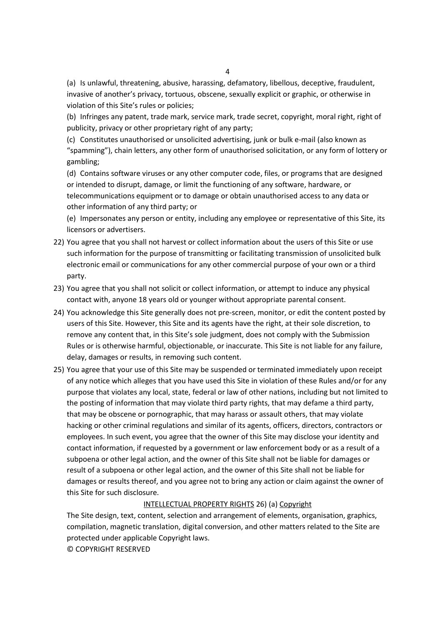(a) Is unlawful, threatening, abusive, harassing, defamatory, libellous, deceptive, fraudulent, invasive of another's privacy, tortuous, obscene, sexually explicit or graphic, or otherwise in violation of this Site's rules or policies;

(b) Infringes any patent, trade mark, service mark, trade secret, copyright, moral right, right of publicity, privacy or other proprietary right of any party;

(c) Constitutes unauthorised or unsolicited advertising, junk or bulk e-mail (also known as "spamming"), chain letters, any other form of unauthorised solicitation, or any form of lottery or gambling;

(d) Contains software viruses or any other computer code, files, or programs that are designed or intended to disrupt, damage, or limit the functioning of any software, hardware, or telecommunications equipment or to damage or obtain unauthorised access to any data or other information of any third party; or

(e) Impersonates any person or entity, including any employee or representative of this Site, its licensors or advertisers.

- 22) You agree that you shall not harvest or collect information about the users of this Site or use such information for the purpose of transmitting or facilitating transmission of unsolicited bulk electronic email or communications for any other commercial purpose of your own or a third party.
- 23) You agree that you shall not solicit or collect information, or attempt to induce any physical contact with, anyone 18 years old or younger without appropriate parental consent.
- 24) You acknowledge this Site generally does not pre-screen, monitor, or edit the content posted by users of this Site. However, this Site and its agents have the right, at their sole discretion, to remove any content that, in this Site's sole judgment, does not comply with the Submission Rules or is otherwise harmful, objectionable, or inaccurate. This Site is not liable for any failure, delay, damages or results, in removing such content.
- 25) You agree that your use of this Site may be suspended or terminated immediately upon receipt of any notice which alleges that you have used this Site in violation of these Rules and/or for any purpose that violates any local, state, federal or law of other nations, including but not limited to the posting of information that may violate third party rights, that may defame a third party, that may be obscene or pornographic, that may harass or assault others, that may violate hacking or other criminal regulations and similar of its agents, officers, directors, contractors or employees. In such event, you agree that the owner of this Site may disclose your identity and contact information, if requested by a government or law enforcement body or as a result of a subpoena or other legal action, and the owner of this Site shall not be liable for damages or result of a subpoena or other legal action, and the owner of this Site shall not be liable for damages or results thereof, and you agree not to bring any action or claim against the owner of this Site for such disclosure.

#### INTELLECTUAL PROPERTY RIGHTS 26) (a) Copyright

The Site design, text, content, selection and arrangement of elements, organisation, graphics, compilation, magnetic translation, digital conversion, and other matters related to the Site are protected under applicable Copyright laws.

© COPYRIGHT RESERVED

4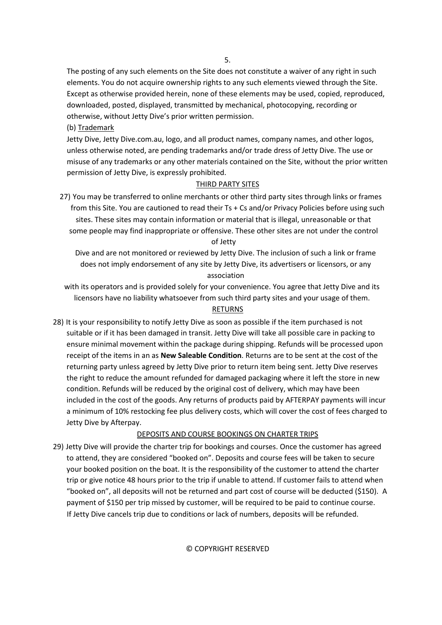5.

The posting of any such elements on the Site does not constitute a waiver of any right in such elements. You do not acquire ownership rights to any such elements viewed through the Site. Except as otherwise provided herein, none of these elements may be used, copied, reproduced, downloaded, posted, displayed, transmitted by mechanical, photocopying, recording or otherwise, without Jetty Dive's prior written permission.

(b) Trademark

Jetty Dive, Jetty Dive.com.au, logo, and all product names, company names, and other logos, unless otherwise noted, are pending trademarks and/or trade dress of Jetty Dive. The use or misuse of any trademarks or any other materials contained on the Site, without the prior written permission of Jetty Dive, is expressly prohibited.

### THIRD PARTY SITES

27) You may be transferred to online merchants or other third party sites through links or frames from this Site. You are cautioned to read their Ts + Cs and/or Privacy Policies before using such sites. These sites may contain information or material that is illegal, unreasonable or that some people may find inappropriate or offensive. These other sites are not under the control of Jetty

Dive and are not monitored or reviewed by Jetty Dive. The inclusion of such a link or frame does not imply endorsement of any site by Jetty Dive, its advertisers or licensors, or any association

with its operators and is provided solely for your convenience. You agree that Jetty Dive and its licensors have no liability whatsoever from such third party sites and your usage of them. RETURNS

28) It is your responsibility to notify Jetty Dive as soon as possible if the item purchased is not suitable or if it has been damaged in transit. Jetty Dive will take all possible care in packing to ensure minimal movement within the package during shipping. Refunds will be processed upon receipt of the items in an as **New Saleable Condition**. Returns are to be sent at the cost of the returning party unless agreed by Jetty Dive prior to return item being sent. Jetty Dive reserves the right to reduce the amount refunded for damaged packaging where it left the store in new condition. Refunds will be reduced by the original cost of delivery, which may have been included in the cost of the goods. Any returns of products paid by AFTERPAY payments will incur a minimum of 10% restocking fee plus delivery costs, which will cover the cost of fees charged to Jetty Dive by Afterpay.

# DEPOSITS AND COURSE BOOKINGS ON CHARTER TRIPS

29) Jetty Dive will provide the charter trip for bookings and courses. Once the customer has agreed to attend, they are considered "booked on". Deposits and course fees will be taken to secure your booked position on the boat. It is the responsibility of the customer to attend the charter trip or give notice 48 hours prior to the trip if unable to attend. If customer fails to attend when "booked on", all deposits will not be returned and part cost of course will be deducted (\$150). A payment of \$150 per trip missed by customer, will be required to be paid to continue course. If Jetty Dive cancels trip due to conditions or lack of numbers, deposits will be refunded.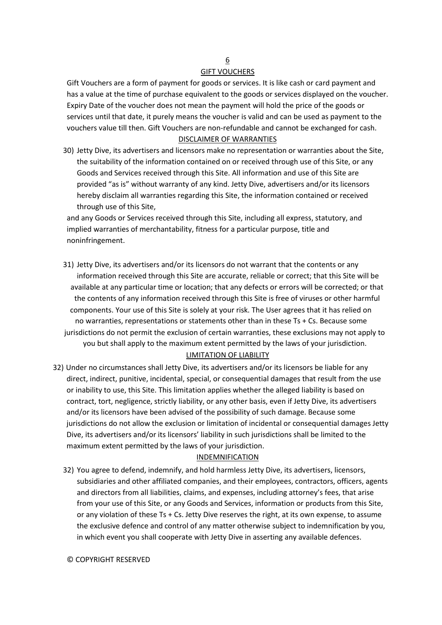# 6 GIFT VOUCHERS

Gift Vouchers are a form of payment for goods or services. It is like cash or card payment and has a value at the time of purchase equivalent to the goods or services displayed on the voucher. Expiry Date of the voucher does not mean the payment will hold the price of the goods or services until that date, it purely means the voucher is valid and can be used as payment to the vouchers value till then. Gift Vouchers are non-refundable and cannot be exchanged for cash.

### DISCLAIMER OF WARRANTIES

30) Jetty Dive, its advertisers and licensors make no representation or warranties about the Site, the suitability of the information contained on or received through use of this Site, or any Goods and Services received through this Site. All information and use of this Site are provided "as is" without warranty of any kind. Jetty Dive, advertisers and/or its licensors hereby disclaim all warranties regarding this Site, the information contained or received through use of this Site,

and any Goods or Services received through this Site, including all express, statutory, and implied warranties of merchantability, fitness for a particular purpose, title and noninfringement.

- 31) Jetty Dive, its advertisers and/or its licensors do not warrant that the contents or any information received through this Site are accurate, reliable or correct; that this Site will be available at any particular time or location; that any defects or errors will be corrected; or that the contents of any information received through this Site is free of viruses or other harmful components. Your use of this Site is solely at your risk. The User agrees that it has relied on no warranties, representations or statements other than in these Ts + Cs. Because some jurisdictions do not permit the exclusion of certain warranties, these exclusions may not apply to you but shall apply to the maximum extent permitted by the laws of your jurisdiction. LIMITATION OF LIABILITY
- 32) Under no circumstances shall Jetty Dive, its advertisers and/or its licensors be liable for any direct, indirect, punitive, incidental, special, or consequential damages that result from the use or inability to use, this Site. This limitation applies whether the alleged liability is based on contract, tort, negligence, strictly liability, or any other basis, even if Jetty Dive, its advertisers and/or its licensors have been advised of the possibility of such damage. Because some jurisdictions do not allow the exclusion or limitation of incidental or consequential damages Jetty Dive, its advertisers and/or its licensors' liability in such jurisdictions shall be limited to the maximum extent permitted by the laws of your jurisdiction.

# INDEMNIFICATION

32) You agree to defend, indemnify, and hold harmless Jetty Dive, its advertisers, licensors, subsidiaries and other affiliated companies, and their employees, contractors, officers, agents and directors from all liabilities, claims, and expenses, including attorney's fees, that arise from your use of this Site, or any Goods and Services, information or products from this Site, or any violation of these Ts + Cs. Jetty Dive reserves the right, at its own expense, to assume the exclusive defence and control of any matter otherwise subject to indemnification by you, in which event you shall cooperate with Jetty Dive in asserting any available defences.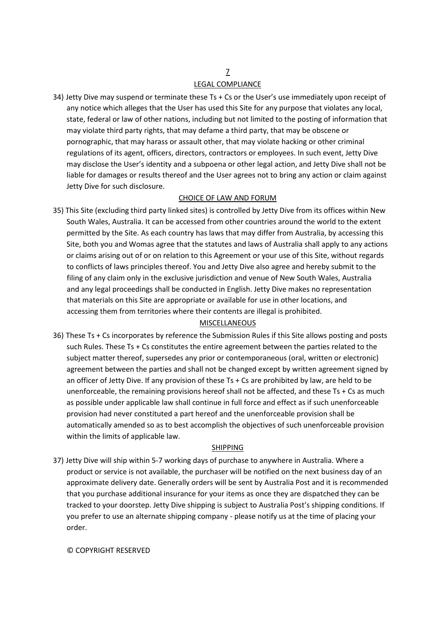# LEGAL COMPLIANCE

34) Jetty Dive may suspend or terminate these Ts + Cs or the User's use immediately upon receipt of any notice which alleges that the User has used this Site for any purpose that violates any local, state, federal or law of other nations, including but not limited to the posting of information that may violate third party rights, that may defame a third party, that may be obscene or pornographic, that may harass or assault other, that may violate hacking or other criminal regulations of its agent, officers, directors, contractors or employees. In such event, Jetty Dive may disclose the User's identity and a subpoena or other legal action, and Jetty Dive shall not be liable for damages or results thereof and the User agrees not to bring any action or claim against Jetty Dive for such disclosure.

### CHOICE OF LAW AND FORUM

35) This Site (excluding third party linked sites) is controlled by Jetty Dive from its offices within New South Wales, Australia. It can be accessed from other countries around the world to the extent permitted by the Site. As each country has laws that may differ from Australia, by accessing this Site, both you and Womas agree that the statutes and laws of Australia shall apply to any actions or claims arising out of or on relation to this Agreement or your use of this Site, without regards to conflicts of laws principles thereof. You and Jetty Dive also agree and hereby submit to the filing of any claim only in the exclusive jurisdiction and venue of New South Wales, Australia and any legal proceedings shall be conducted in English. Jetty Dive makes no representation that materials on this Site are appropriate or available for use in other locations, and accessing them from territories where their contents are illegal is prohibited.

### MISCELLANEOUS

36) These Ts + Cs incorporates by reference the Submission Rules if this Site allows posting and posts such Rules. These Ts + Cs constitutes the entire agreement between the parties related to the subject matter thereof, supersedes any prior or contemporaneous (oral, written or electronic) agreement between the parties and shall not be changed except by written agreement signed by an officer of Jetty Dive. If any provision of these Ts + Cs are prohibited by law, are held to be unenforceable, the remaining provisions hereof shall not be affected, and these  $Ts + Cs$  as much as possible under applicable law shall continue in full force and effect as if such unenforceable provision had never constituted a part hereof and the unenforceable provision shall be automatically amended so as to best accomplish the objectives of such unenforceable provision within the limits of applicable law.

# SHIPPING

37) Jetty Dive will ship within 5-7 working days of purchase to anywhere in Australia. Where a product or service is not available, the purchaser will be notified on the next business day of an approximate delivery date. Generally orders will be sent by Australia Post and it is recommended that you purchase additional insurance for your items as once they are dispatched they can be tracked to your doorstep. Jetty Dive shipping is subject to Australia Post's shipping conditions. If you prefer to use an alternate shipping company - please notify us at the time of placing your order.

### © COPYRIGHT RESERVED

# 7